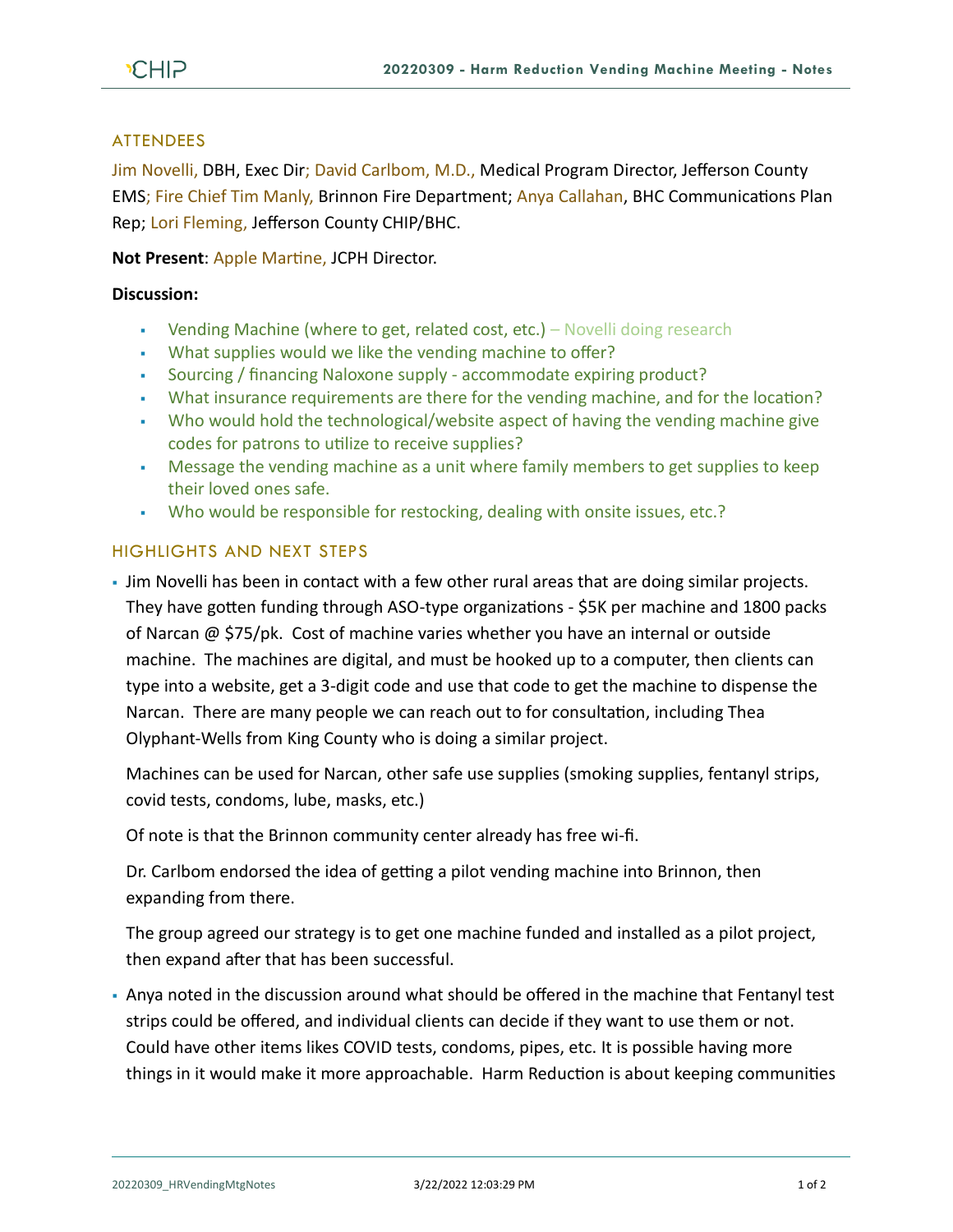## **ATTENDEES**

Jim Novelli, DBH, Exec Dir; David Carlbom, M.D., Medical Program Director, Jefferson County EMS; Fire Chief Tim Manly, Brinnon Fire Department; Anya Callahan, BHC Communications Plan Rep; Lori Fleming, Jefferson County CHIP/BHC.

**Not Present**: Apple Martine, JCPH Director.

## **Discussion:**

- Vending Machine (where to get, related cost, etc.) Novelli doing research
- What supplies would we like the vending machine to offer?
- Sourcing / financing Naloxone supply accommodate expiring product?
- What insurance requirements are there for the vending machine, and for the location?
- Who would hold the technological/website aspect of having the vending machine give codes for patrons to utilize to receive supplies?
- Message the vending machine as a unit where family members to get supplies to keep their loved ones safe.
- Who would be responsible for restocking, dealing with onsite issues, etc.?

## HIGHLIGHTS AND NEXT STEPS

• Jim Novelli has been in contact with a few other rural areas that are doing similar projects. They have gotten funding through ASO-type organizations - \$5K per machine and 1800 packs of Narcan @ \$75/pk. Cost of machine varies whether you have an internal or outside machine. The machines are digital, and must be hooked up to a computer, then clients can type into a website, get a 3-digit code and use that code to get the machine to dispense the Narcan. There are many people we can reach out to for consultation, including Thea Olyphant-Wells from King County who is doing a similar project.

Machines can be used for Narcan, other safe use supplies (smoking supplies, fentanyl strips, covid tests, condoms, lube, masks, etc.)

Of note is that the Brinnon community center already has free wi-fi.

Dr. Carlbom endorsed the idea of getting a pilot vending machine into Brinnon, then expanding from there.

The group agreed our strategy is to get one machine funded and installed as a pilot project, then expand after that has been successful.

• Anya noted in the discussion around what should be offered in the machine that Fentanyl test strips could be offered, and individual clients can decide if they want to use them or not. Could have other items likes COVID tests, condoms, pipes, etc. It is possible having more things in it would make it more approachable. Harm Reduction is about keeping communities